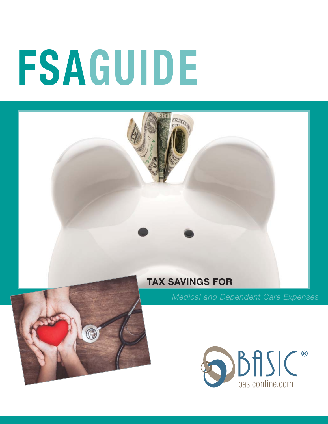# **FSAGUIDE**

#### **TAX SAVINGS FOR**



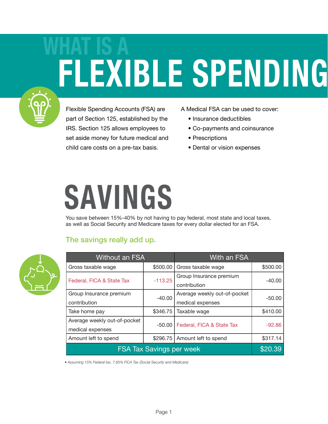### **WHAT IS A FLEXIBLE SPENDING**



Flexible Spending Accounts (FSA) are part of Section 125, established by the IRS. Section 125 allows employees to set aside money for future medical and child care costs on a pre-tax basis.

A Medical FSA can be used to cover:

- Insurance deductibles
- Co-payments and coinsurance
- Prescriptions
- Dental or vision expenses

### **SAVINGS**

You save between 15%-40% by not having to pay federal, most state and local taxes, as well as Social Security and Medicare taxes for every dollar elected for an FSA.

#### The savings really add up.



| <b>Without an FSA</b>           |           | With an FSA                  |          |
|---------------------------------|-----------|------------------------------|----------|
| Gross taxable wage              | \$500.00  | Gross taxable wage           | \$500.00 |
| Federal, FICA & State Tax       | $-113.25$ | Group Insurance premium      | $-40.00$ |
|                                 |           | contribution                 |          |
| Group Insurance premium         | $-40.00$  | Average weekly out-of-pocket | $-50.00$ |
| contribution                    |           | medical expenses             |          |
| Take home pay                   | \$346.75  | Taxable wage                 | \$410.00 |
| Average weekly out-of-pocket    | $-50.00$  | Federal, FICA & State Tax    | $-92.86$ |
| medical expenses                |           |                              |          |
| Amount left to spend            | \$296.75  | Amount left to spend         | \$317.14 |
| <b>FSA Tax Savings per week</b> |           |                              |          |

*• Assuming 15% Federal tax, 7.65% FICA Tax (Social Security and Medicare)*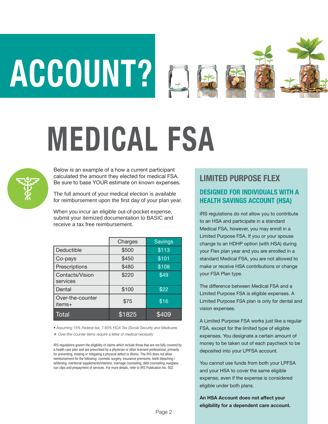# **ACCOUNT?**



## **MEDICAL FSA**



Below is an example of a how a current participant calculated the amount they elected for medical FSA. Be sure to base YOUR estimate on known expenses.

The full amount of your medical election is available for reimbursement upon the first day of your plan year.

When you incur an eligible out-of-pocket expense, submit your itemized documentation to BASIC and receive a tax free reimbursement.

|                             | Charges | <b>Savings</b> |
|-----------------------------|---------|----------------|
| Deductible                  | \$500   | \$113          |
| Co-pays                     | \$450   | \$101          |
| Prescriptions               | \$480   | \$108          |
| Contacts/Vision<br>services | \$220   | \$49           |
| Dental                      | \$100   | \$22           |
| Over-the-counter<br>items+  | \$75    | \$16           |
| Total                       | \$1825  | \$409          |

*• Assuming 15% Federal tax, 7.65% FICA Tax (Social Security and Medicare)*

+ *Over-the-counter items require a letter of medical necessity*

IRS regulations govern the eligibility of claims which include those that are not fully covered by a health care plan and are prescribed by a physician or other licensed professional, primarily for preventing, treating or mitigating a physical defect or illness. The IRS does not allow reimbursement for the following: cosmetic surgery, insurance premiums, teeth bleaching / whitening, nutritional supplements/vitamins, marriage counseling, debt counseling, eyeglass sun clips and prepayment of services. For more details, refer to IRS Publication No. 502.

#### **LIMITED PURPOSE FLEX**

#### **DESIGNED FOR INDIVIDUALS WITH A HEALTH SAVINGS ACCOUNT (HSA)**

IRS regulations do not allow you to contribute to an HSA and participate in a standard Medical FSA, however, you may enroll in a Limited Purpose FSA. If you or your spouse change to an HDHP option (with HSA) during your Flex plan year and you are enrolled in a standard Medical FSA, you are not allowed to make or receive HSA contributions or change your FSA Plan type.

The difference between Medical FSA and a Limited Purpose FSA is eligible expenses. A Limited Purpose FSA plan is only for dental and vision expenses.

A Limited Purpose FSA works just like a regular FSA, except for the limited type of eligible expenses. You designate a certain amount of money to be taken out of each paycheck to be deposited into your LPFSA account.

You cannot use funds from both your LPFSA and your HSA to cover the same eligible expense, even if the expense is considered eligible under both plans.

**An HSA Account does not affect your eligibility for a dependent care account.**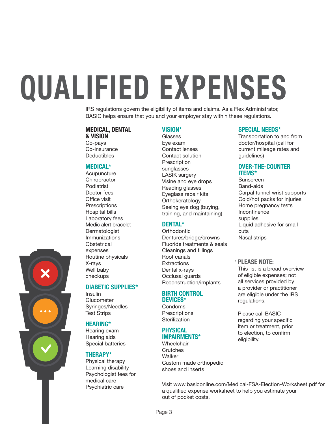## **QUALIFIED EXPENSES**

IRS regulations govern the eligibility of items and claims. As a Flex Administrator, BASIC helps ensure that you and your employer stay within these regulations.

#### **MEDICAL, DENTAL & VISION**

Co-pays Co-insurance Deductibles

#### **MEDICAL\***

Acupuncture **Chiropractor** Podiatrist Doctor fees Office visit **Prescriptions** Hospital bills Laboratory fees Medic alert bracelet **Dermatologist** Immunizations **Obstetrical** expenses Routine physicals X-rays Well baby checkups

#### **DIABETIC SUPPLIES\***

Insulin **Glucometer** Syringes/Needles Test Strips

#### **HEARING\***

Hearing exam Hearing aids Special batteries

#### **THERAPY\***

Physical therapy Learning disability Psychologist fees for medical care Psychiatric care

#### **VISION\***

Glasses Eye exam Contact lenses Contact solution Prescription sunglasses LASIK surgery Visine and eye drops Reading glasses Eyeglass repair kits Orthokeratology Seeing eye dog (buying, training, and maintaining)

#### **DENTAL\***

**Orthodontic** Dentures/bridge/crowns Fluoride treatments & seals Cleanings and fillings Root canals **Extractions** Dental x-rays Occlusal guards Reconstruction/implants

#### **BIRTH CONTROL DEVICES\***

Condoms **Prescriptions Sterilization** 

#### **PHYSICAL IMPAIRMENTS\***

Wheelchair **Crutches** Walker Custom made orthopedic shoes and inserts

#### **SPECIAL NEEDS\***

Transportation to and from doctor/hospital (call for current mileage rates and guidelines)

#### **OVER-THE-COUNTER ITEMS\***

Sunscreen Band-aids Carpal tunnel wrist supports Cold/hot packs for injuries Home pregnancy tests Incontinence supplies Liquid adhesive for small cuts Nasal strips

#### \* **PLEASE NOTE:**

This list is a broad overview of eligible expenses; not all services provided by a provider or practitioner are eligible under the IRS regulations.

Please call BASIC regarding your specific item or treatment, prior to election, to confirm eligibility.

Visit www.basiconline.com/Medical-FSA-Election-Worksheet.pdf for a qualified expense worksheet to help you estimate your out of pocket costs.

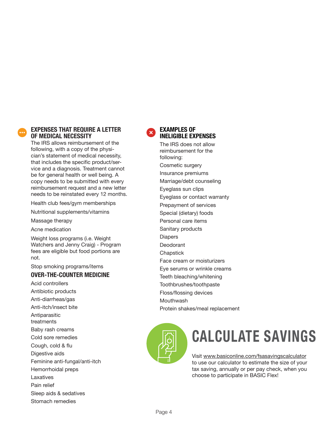

#### **EXPENSES THAT REQUIRE A LETTER OF MEDICAL NECESSITY**

The IRS allows reimbursement of the following, with a copy of the physician's statement of medical necessity, that includes the specific product/service and a diagnosis. Treatment cannot be for general health or well being. A copy needs to be submitted with every reimbursement request and a new letter needs to be reinstated every 12 months.

Health club fees/gym memberships

Nutritional supplements/vitamins

Massage therapy

Acne medication

Weight loss programs (i.e. Weight Watchers and Jenny Craig) - Program fees are eligible but food portions are not.

Stop smoking programs/items

#### **OVER-THE-COUNTER MEDICINE**

Acid controllers Antibiotic products Anti-diarrheas/gas Anti-itch/insect bite Antiparasitic treatments Baby rash creams Cold sore remedies Cough, cold & flu Digestive aids Feminine anti-fungal/anti-itch Hemorrhoidal preps Laxatives Pain relief Sleep aids & sedatives Stomach remedies



#### **EXAMPLES OF INELIGIBLE EXPENSES**

The IRS does not allow reimbursement for the following: Cosmetic surgery Insurance premiums Marriage/debt counseling Eyeglass sun clips Eyeglass or contact warranty Prepayment of services Special (dietary) foods Personal care items Sanitary products Diapers Deodorant **Chapstick** Face cream or moisturizers Eye serums or wrinkle creams Teeth bleaching/whitening Toothbrushes/toothpaste Floss/flossing devices Mouthwash Protein shakes/meal replacement



### **CALCULATE SAVINGS**

Visit www.basiconline.com/fsasavingscalculator to use our calculator to estimate the size of your tax saving, annually or per pay check, when you choose to participate in BASIC Flex!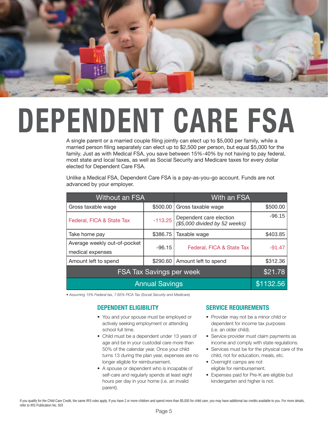

### **DEPENDENT CARE FSA**

A single parent or a married couple filing jointly can elect up to \$5,000 per family, while a married person filing separately can elect up to \$2,500 per person, but equal \$5,000 for the family. Just as with Medical FSA, you save between 15%-40% by not having to pay federal, most state and local taxes, as well as Social Security and Medicare taxes for every dollar elected for Dependent Care FSA.

Unlike a Medical FSA, Dependent Care FSA is a pay-as-you-go account. Funds are not advanced by your employer.

| <b>Without an FSA</b>                            |           | With an FSA                                              |           |
|--------------------------------------------------|-----------|----------------------------------------------------------|-----------|
| Gross taxable wage                               | \$500.00  | Gross taxable wage                                       | \$500.00  |
| Federal, FICA & State Tax                        | $-113.25$ | Dependent care election<br>(\$5,000 divided by 52 weeks) | $-96.15$  |
| Take home pay                                    | \$386.75  | Taxable wage                                             | \$403.85  |
| Average weekly out-of-pocket<br>medical expenses | $-96.15$  | Federal, FICA & State Tax                                | $-91.47$  |
| Amount left to spend                             | \$290.60  | Amount left to spend                                     | \$312.36  |
| <b>FSA Tax Savings per week</b>                  |           |                                                          | \$21.78   |
| <b>Annual Savings</b>                            |           |                                                          | \$1132.56 |

*• Assuming 15% Federal tax, 7.65% FICA Tax (Social Security and Medicare)*

#### **DEPENDENT ELIGIBILITY**

- You and your spouse must be employed or actively seeking employment or attending school full time.
- Child must be a dependent under 13 years of age and be in your custodial care more than 50% of the calendar year. Once your child turns 13 during the plan year, expenses are no longer eligible for reimbursement.
- A spouse or dependent who is incapable of self-care and regularly spends at least eight hours per day in your home (i.e. an invalid parent).

#### **SERVICE REQUIREMENTS**

- Provider may not be a minor child or dependent for income tax purposes (i.e. an older child).
- Service provider must claim payments as income and comply with state regulations.
- Services must be for the physical care of the child, not for education, meals, etc.
- Overnight camps are not eligible for reimbursement.
- Expenses paid for Pre-K are eligible but kindergarten and higher is not.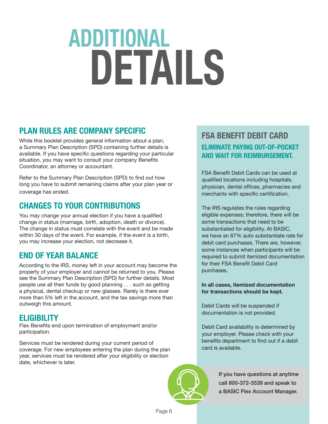### **ADDITIONAL DETAILS**

#### **PLAN RULES ARE COMPANY SPECIFIC**

While this booklet provides general information about a plan, a Summary Plan Description (SPD) containing further details is available. If you have specific questions regarding your particular situation, you may want to consult your company Benefits Coordinator, an attorney or accountant.

Refer to the Summary Plan Description (SPD) to find out how long you have to submit remaining claims after your plan year or coverage has ended.

#### **CHANGES TO YOUR CONTRIBUTIONS**

You may change your annual election if you have a qualified change in status (marriage, birth, adoption, death or divorce). The change in status must correlate with the event and be made within 30 days of the event. For example, if the event is a birth, you may increase your election, not decrease it.

#### **END OF YEAR BALANCE**

According to the IRS, money left in your account may become the property of your employer and cannot be returned to you. Please see the Summary Plan Description (SPD) for further details. Most people use all their funds by good planning . . . such as getting a physical, dental checkup or new glasses. Rarely is there ever more than 5% left in the account, and the tax savings more than outweigh this amount.

#### **ELIGIBILITY**

Flex Benefits end upon termination of employment and/or participation.

Services must be rendered during your current period of coverage. For new employees entering the plan during the plan year, services must be rendered after your eligibility or election date, whichever is later.

#### **FSA BENEFIT DEBIT CARD ELIMINATE PAYING OUT-OF-POCKET AND WAIT FOR REIMBURSEMENT.**

FSA Benefit Debit Cards can be used at qualified locations including hospitals, physician, dental offices, pharmacies and merchants with specific certification.

The IRS regulates the rules regarding eligible expenses; therefore, there will be some transactions that need to be substantiated for eligibility. At BASIC, we have an 87% auto substantiate rate for debit card purchases. There are, however, some instances when participants will be required to submit itemized documentation for their FSA Benefit Debit Card purchases.

**In all cases, itemized documentation for transactions should be kept.**

Debit Cards will be suspended if documentation is not provided.

Debit Card availability is determined by your employer. Please check with your benefits department to find out if a debit card is available.



If you have questions at anytime call 800-372-3539 and speak to a BASIC Flex Account Manager.